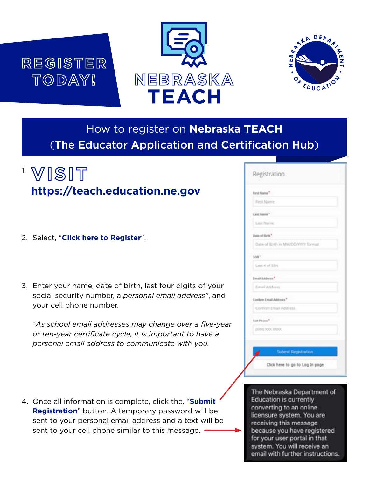# **REGISTER TODAY!**





### How to register on **Nebraska TEACH**  (**T**he **E**ducator **A**pplication and **C**ertification **H**ub)

# 1. **VISIT https://teach.education.ne.gov**

- 2. Select, "**Click here to Register**".
- 3. Enter your name, date of birth, last four digits of your social security number, a *personal email address\**, and your cell phone number.

\**As school email addresses may change over a five-year or ten-year certificate cycle, it is important to have a personal email address to communicate with you.* 

4. Once all information is complete, click the, "**Submit Registration**" button. A temporary password will be sent to your personal email address and a text will be sent to your cell phone similar to this message.

| First Name"                        |  |
|------------------------------------|--|
| First Name                         |  |
| Lest hame."                        |  |
| Littl Name                         |  |
| late of firth."                    |  |
| Date of Birth in MM/DD/YYYY format |  |
| saw"                               |  |
| Latit 4 of 55N                     |  |
| Creat Address <sup>4</sup>         |  |
| Fmail Address                      |  |
| Conform Email Address <sup>*</sup> |  |
| Contint Ental Address              |  |
| Call Phone <sup>4</sup>            |  |
| (1000) 3000 30000                  |  |
|                                    |  |

The Nebraska Department of **Education is currently** converting to an online licensure system. You are receiving this message. because you have registered for your user portal in that system. You will receive an email with further instructions.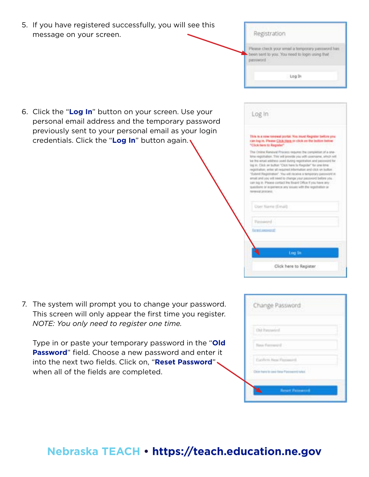| 5. If you have registered successfully, you will see this<br>message on your screen.                                                                                                                                | Registration<br>Please check your umiel a temporary password has<br>help green regal of boost, your such to has need<br>password.<br>Log In                                                                                                                                                                                                                                                                                                                                                                                                                                                                                                                                                                                                                                                                                                                                        |
|---------------------------------------------------------------------------------------------------------------------------------------------------------------------------------------------------------------------|------------------------------------------------------------------------------------------------------------------------------------------------------------------------------------------------------------------------------------------------------------------------------------------------------------------------------------------------------------------------------------------------------------------------------------------------------------------------------------------------------------------------------------------------------------------------------------------------------------------------------------------------------------------------------------------------------------------------------------------------------------------------------------------------------------------------------------------------------------------------------------|
| 6. Click the "Log In" button on your screen. Use your<br>personal email address and the temporary password<br>previously sent to your personal email as your login<br>credentials. Click the "Log In" button again. | Log In<br>This is a new renewal portal. You must Register Selors you<br>can log in. Please Click Hara on click on the Indian below<br>"Click here to Register"<br>The Chiline Renewal Phicaris requires the competiun of a one-<br>time registration. This will brovide you will control to, aroun sol-<br>be the email address seed during registration and password for<br>ling in: Click am buffort "Click here to Raupidan" for smallering<br>registration; writer all required information and click on bottom<br>"Todanit Registration". You will receive a templorary password in<br>email and josi will need to chemps your password before you.<br>liam big in. Please contact the Baard Office if you have any<br>questions or experience any source with the regulation or<br>rement into auto<br>Oper Name (Email)<br>Patrimord<br><b><i><u>ISTER SECTIONS</u></i></b> |

7. The system will prompt you to change your password. This screen will only appear the first time you register. *NOTE: You only need to register one time.* 

Type in or paste your temporary password in the "**Old Password**" field. Choose a new password and enter it into the next two fields. Click on, "**Reset Password**" when all of the fields are completed.

| Change Password                       |  |
|---------------------------------------|--|
| Out haywood<br><b>Party Committee</b> |  |
| New Farmer E.                         |  |
| <b>Curricus</b> Real Paintered        |  |
| Our hard is used for Passworth Mar-   |  |
| <b>Broad Palmering</b>                |  |

Log In

Click here to Register.

#### **Nebraska TEACH • https://teach.education.ne.gov**